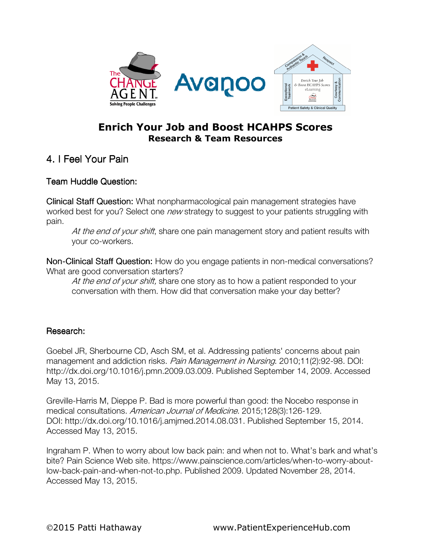

## Enrich Your Job and Boost HCAHPS Scores Research & Team Resources

## 4. I Feel Your Pain

## Team Huddle Question:

Clinical Staff Question: What nonpharmacological pain management strategies have worked best for you? Select one *new* strategy to suggest to your patients struggling with pain.

At the end of your shift, share one pain management story and patient results with your co-workers.

Non-Clinical Staff Question: How do you engage patients in non-medical conversations? What are good conversation starters?

At the end of your shift, share one story as to how a patient responded to your conversation with them. How did that conversation make your day better?

## Research:

Goebel JR, Sherbourne CD, Asch SM, et al. Addressing patients' concerns about pain management and addiction risks. Pain Management in Nursing. 2010;11(2):92-98. DOI: http://dx.doi.org/10.1016/j.pmn.2009.03.009. Published September 14, 2009. Accessed May 13, 2015.

Greville-Harris M, Dieppe P. Bad is more powerful than good: the Nocebo response in medical consultations. American Journal of Medicine. 2015;128(3):126-129. DOI: http://dx.doi.org/10.1016/j.amjmed.2014.08.031. Published September 15, 2014. Accessed May 13, 2015.

Ingraham P. When to worry about low back pain: and when not to. What's bark and what's bite? Pain Science Web site. https://www.painscience.com/articles/when-to-worry-aboutlow-back-pain-and-when-not-to.php. Published 2009. Updated November 28, 2014. Accessed May 13, 2015.